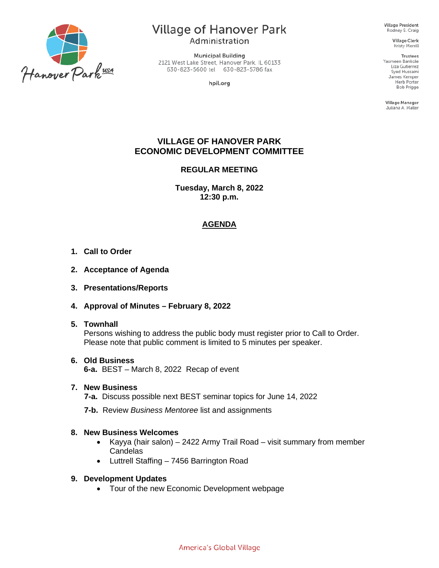

## **Village of Hanover Park**

Administration

**Municipal Building** 2121 West Lake Street, Hanover Park, IL 60133 630-823-5600 tel 630-823-5786 fax

hpil.org

**Village President** Rodney S. Craig

> **Village Clerk** Kristy Merrill

**Trustees** Yasmeen Bankole Liza Gutierrez Syed Hussaini James Kemper Herb Porter **Bob Prigge** 

Village Manager Juliana A. Maller

#### **VILLAGE OF HANOVER PARK ECONOMIC DEVELOPMENT COMMITTEE**

#### **REGULAR MEETING**

**Tuesday, March 8, 2022 12:30 p.m.** 

#### **AGENDA**

- **1. Call to Order**
- **2. Acceptance of Agenda**
- **3. Presentations/Reports**
- **4. Approval of Minutes – February 8, 2022**
- **5. Townhall**

Persons wishing to address the public body must register prior to Call to Order. Please note that public comment is limited to 5 minutes per speaker.

#### **6. Old Business**

**6-a.** BEST – March 8, 2022 Recap of event

#### **7. New Business**

**7-a.** Discuss possible next BEST seminar topics for June 14, 2022

**7-b.** Review *Business Mentoree* list and assignments

#### **8. New Business Welcomes**

- Kayya (hair salon) 2422 Army Trail Road visit summary from member **Candelas**
- Luttrell Staffing 7456 Barrington Road

#### **9. Development Updates**

• Tour of the new Economic Development webpage

America's Global Village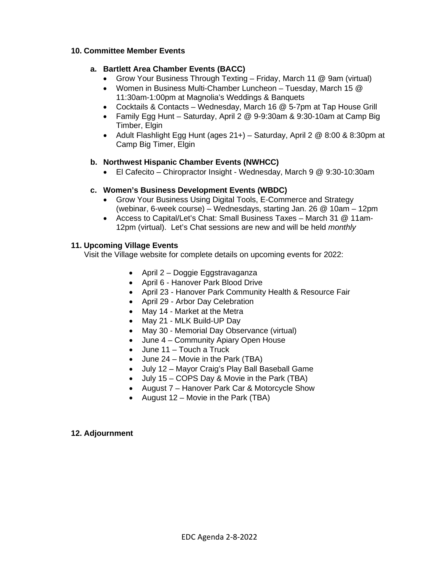#### **10. Committee Member Events**

#### **a. Bartlett Area Chamber Events (BACC)**

- Grow Your Business Through Texting Friday, March 11 @ 9am (virtual)
- Women in Business Multi-Chamber Luncheon Tuesday, March 15 @ 11:30am-1:00pm at Magnolia's Weddings & Banquets
- Cocktails & Contacts Wednesday, March 16 @ 5-7pm at Tap House Grill
- Family Egg Hunt Saturday, April 2 @ 9-9:30am & 9:30-10am at Camp Big Timber, Elgin
- Adult Flashlight Egg Hunt (ages  $21+)$  Saturday, April 2  $@$  8:00 & 8:30pm at Camp Big Timer, Elgin

#### **b. Northwest Hispanic Chamber Events (NWHCC)**

• El Cafecito – Chiropractor Insight - Wednesday, March 9 @ 9:30-10:30am

#### **c. Women's Business Development Events (WBDC)**

- Grow Your Business Using Digital Tools, E-Commerce and Strategy (webinar, 6-week course) – Wednesdays, starting Jan. 26 @ 10am – 12pm
- Access to Capital/Let's Chat: Small Business Taxes March 31 @ 11am-12pm (virtual). Let's Chat sessions are new and will be held *monthly*

#### **11. Upcoming Village Events**

Visit the Village website for complete details on upcoming events for 2022:

- April 2 Doggie Eggstravaganza
- April 6 Hanover Park Blood Drive
- April 23 Hanover Park Community Health & Resource Fair
- April 29 Arbor Day Celebration
- May 14 Market at the Metra
- May 21 MLK Build-UP Day
- May 30 Memorial Day Observance (virtual)
- June 4 Community Apiary Open House
- June 11 Touch a Truck
- June 24 Movie in the Park (TBA)
- July 12 Mayor Craig's Play Ball Baseball Game
- July 15 COPS Day & Movie in the Park (TBA)
- August 7 Hanover Park Car & Motorcycle Show
- August 12 Movie in the Park (TBA)

#### **12. Adjournment**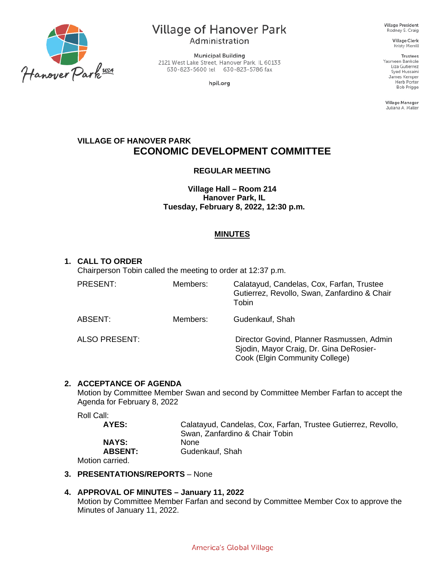

# **Village of Hanover Park**

Administration

**Municipal Building** 2121 West Lake Street, Hanover Park, IL 60133 630-823-5600 tel 630-823-5786 fax

hpil.org

**Village President** Rodney S. Craig

> **Village Clerk** Kristy Merrill

**Trustees** Yasmeen Bankole Liza Gutierrez Syed Hussaini James Kemper Herb Porter **Bob Prigge** 

Village Manager Juliana A. Maller

### **VILLAGE OF HANOVER PARK ECONOMIC DEVELOPMENT COMMITTEE**

#### **REGULAR MEETING**

**Village Hall – Room 214 Hanover Park, IL Tuesday, February 8, 2022, 12:30 p.m.**

#### **MINUTES**

#### **1. CALL TO ORDER**

Chairperson Tobin called the meeting to order at 12:37 p.m.

| PRESENT:      | Members: | Calatayud, Candelas, Cox, Farfan, Trustee<br>Gutierrez, Revollo, Swan, Zanfardino & Chair<br>Tobin                     |
|---------------|----------|------------------------------------------------------------------------------------------------------------------------|
| ABSENT:       | Members: | Gudenkauf, Shah                                                                                                        |
| ALSO PRESENT: |          | Director Govind, Planner Rasmussen, Admin<br>Sjodin, Mayor Craig, Dr. Gina DeRosier-<br>Cook (Elgin Community College) |

#### **2. ACCEPTANCE OF AGENDA**

Motion by Committee Member Swan and second by Committee Member Farfan to accept the Agenda for February 8, 2022

Roll Call:

| AYES:          | Calatayud, Candelas, Cox, Farfan, Trustee Gutierrez, Revollo, |
|----------------|---------------------------------------------------------------|
|                | Swan, Zanfardino & Chair Tobin                                |
| <b>NAYS:</b>   | <b>None</b>                                                   |
| <b>ABSENT:</b> | Gudenkauf, Shah                                               |
|                |                                                               |

Motion carried.

#### **3. PRESENTATIONS/REPORTS** – None

#### **4. APPROVAL OF MINUTES – January 11, 2022**

Motion by Committee Member Farfan and second by Committee Member Cox to approve the Minutes of January 11, 2022.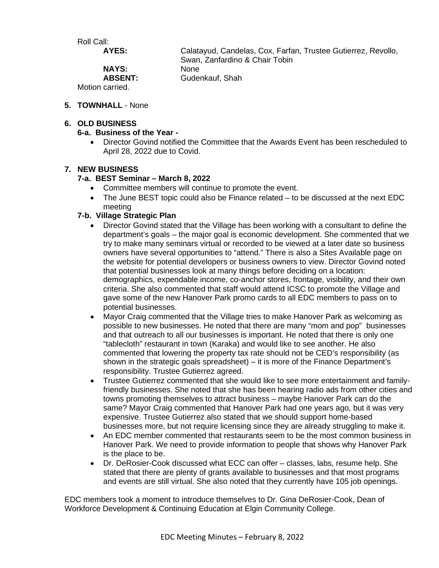Roll Call:

**NAYS:<br>ABSENT:** 

**AYES:** Calatayud, Candelas, Cox, Farfan, Trustee Gutierrez, Revollo, Swan, Zanfardino & Chair Tobin<br>None **ABSENT:** Gudenkauf, Shah

Motion carried.

**5. TOWNHALL** - None

#### **6. OLD BUSINESS**

#### **6-a. Business of the Year -**

• Director Govind notified the Committee that the Awards Event has been rescheduled to April 28, 2022 due to Covid.

#### **7. NEW BUSINESS**

#### **7-a. BEST Seminar – March 8, 2022**

- Committee members will continue to promote the event.
- The June BEST topic could also be Finance related to be discussed at the next EDC meeting

#### **7-b. Village Strategic Plan**

- Director Govind stated that the Village has been working with a consultant to define the department's goals – the major goal is economic development. She commented that we try to make many seminars virtual or recorded to be viewed at a later date so business owners have several opportunities to "attend." There is also a Sites Available page on the website for potential developers or business owners to view. Director Govind noted that potential businesses look at many things before deciding on a location: demographics, expendable income, co-anchor stores, frontage, visibility, and their own criteria. She also commented that staff would attend ICSC to promote the Village and gave some of the new Hanover Park promo cards to all EDC members to pass on to potential businesses.
- Mayor Craig commented that the Village tries to make Hanover Park as welcoming as possible to new businesses. He noted that there are many "mom and pop" businesses and that outreach to all our businesses is important. He noted that there is only one "tablecloth" restaurant in town (Karaka) and would like to see another. He also commented that lowering the property tax rate should not be CED's responsibility (as shown in the strategic goals spreadsheet) – it is more of the Finance Department's responsibility. Trustee Gutierrez agreed.
- Trustee Gutierrez commented that she would like to see more entertainment and familyfriendly businesses. She noted that she has been hearing radio ads from other cities and towns promoting themselves to attract business – maybe Hanover Park can do the same? Mayor Craig commented that Hanover Park had one years ago, but it was very expensive. Trustee Gutierrez also stated that we should support home-based businesses more, but not require licensing since they are already struggling to make it.
- An EDC member commented that restaurants seem to be the most common business in Hanover Park. We need to provide information to people that shows why Hanover Park is the place to be.
- Dr. DeRosier-Cook discussed what ECC can offer classes, labs, resume help. She stated that there are plenty of grants available to businesses and that most programs and events are still virtual. She also noted that they currently have 105 job openings.

EDC members took a moment to introduce themselves to Dr. Gina DeRosier-Cook, Dean of Workforce Development & Continuing Education at Elgin Community College.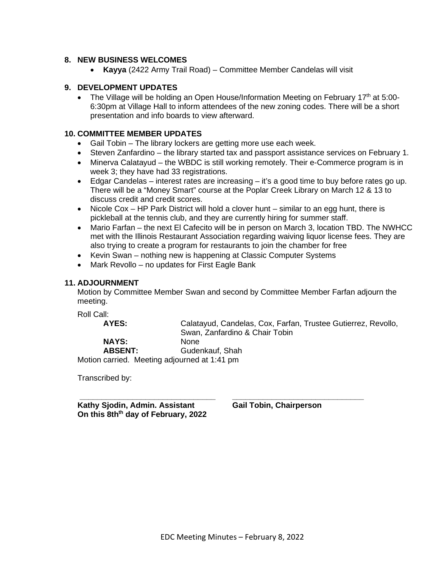#### **8. NEW BUSINESS WELCOMES**

• **Kayya** (2422 Army Trail Road) – Committee Member Candelas will visit

#### **9. DEVELOPMENT UPDATES**

• The Village will be holding an Open House/Information Meeting on February 17<sup>th</sup> at 5:00-6:30pm at Village Hall to inform attendees of the new zoning codes. There will be a short presentation and info boards to view afterward.

#### **10. COMMITTEE MEMBER UPDATES**

- Gail Tobin The library lockers are getting more use each week.
- Steven Zanfardino the library started tax and passport assistance services on February 1.
- Minerva Calatayud the WBDC is still working remotely. Their e-Commerce program is in week 3; they have had 33 registrations.
- $\bullet$  Edgar Candelas interest rates are increasing it's a good time to buy before rates go up. There will be a "Money Smart" course at the Poplar Creek Library on March 12 & 13 to discuss credit and credit scores.
- Nicole Cox HP Park District will hold a clover hunt similar to an egg hunt, there is pickleball at the tennis club, and they are currently hiring for summer staff.
- Mario Farfan the next El Cafecito will be in person on March 3, location TBD. The NWHCC met with the Illinois Restaurant Association regarding waiving liquor license fees. They are also trying to create a program for restaurants to join the chamber for free
- Kevin Swan nothing new is happening at Classic Computer Systems
- Mark Revollo no updates for First Eagle Bank

#### **11. ADJOURNMENT**

Motion by Committee Member Swan and second by Committee Member Farfan adjourn the meeting.

Roll Call:<br>**AYES:** 

**AYES:** Calatayud, Candelas, Cox, Farfan, Trustee Gutierrez, Revollo, Swan, Zanfardino & Chair Tobin

**NAYS:<br>ABSENT:** 

**ABSENT:** Gudenkauf, Shah

Motion carried. Meeting adjourned at 1:41 pm

Transcribed by:

**\_\_\_\_\_\_\_\_\_\_\_\_\_\_\_\_\_\_\_\_\_\_\_\_\_\_\_\_\_\_\_ \_\_\_\_\_\_\_\_\_\_\_\_\_\_\_\_\_\_\_\_\_\_\_\_\_\_\_\_\_\_ Kathy Sjodin, Admin. Assistant Gail Tobin, Chairperson On this 8thth day of February, 2022**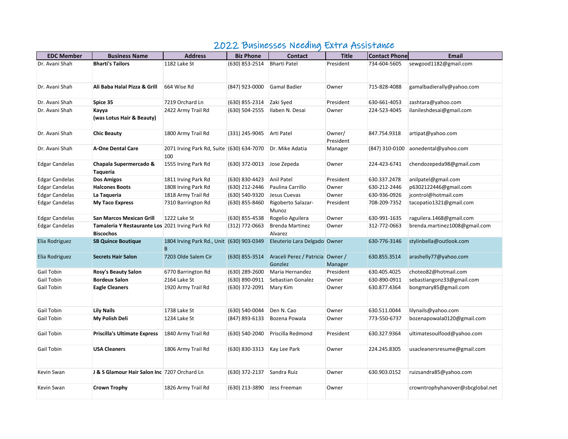## 2022 Businesses Needing Extra Assistance

| <b>EDC Member</b>     | <b>Business Name</b>                                                | <b>Address</b>                                   | <b>Biz Phone</b> | <b>Contact</b>                              | <b>Title</b>        | <b>Contact Phone</b> | <b>Email</b>                     |
|-----------------------|---------------------------------------------------------------------|--------------------------------------------------|------------------|---------------------------------------------|---------------------|----------------------|----------------------------------|
| Dr. Avani Shah        | <b>Bharti's Tailors</b>                                             | 1182 Lake St                                     | (630) 853-2514   | <b>Bharti Patel</b>                         | President           | 734-604-5605         | sewgood1182@gmail.com            |
|                       |                                                                     |                                                  |                  |                                             |                     |                      |                                  |
| Dr. Avani Shah        | Ali Baba Halal Pizza & Grill                                        | 664 Wise Rd                                      | (847) 923-0000   | <b>Gamal Badier</b>                         | Owner               | 715-828-4088         | gamalbadierally@yahoo.com        |
| Dr. Avani Shah        | Spice 35                                                            | 7219 Orchard Ln                                  | (630) 855-2314   | Zaki Syed                                   | President           | 630-661-4053         | zashtara@yahoo.com               |
| Dr. Avani Shah        | Kayya<br>(was Lotus Hair & Beauty)                                  | 2422 Army Trail Rd                               | (630) 504-2555   | Ilaben N. Desai                             | Owner               | 224-523-4045         | ilanileshdesai@gmail.com         |
| Dr. Avani Shah        | <b>Chic Beauty</b>                                                  | 1800 Army Trail Rd                               | (331) 245-9045   | Arti Patel                                  | Owner/<br>President | 847.754.9318         | artipat@yahoo.com                |
| Dr. Avani Shah        | <b>A-One Dental Care</b>                                            | 2071 Irving Park Rd, Suite (630) 634-7070<br>100 |                  | Dr. Mike Adatia                             | Manager             | (847) 310-0100       | aonedental@yahoo.com             |
| <b>Edgar Candelas</b> | Chapala Supermercado &<br><b>Taqueria</b>                           | 1555 Irving Park Rd                              | (630) 372-0013   | Jose Zepeda                                 | Owner               | 224-423-6741         | chendozepeda98@gmail.com         |
| <b>Edgar Candelas</b> | <b>Dos Amigos</b>                                                   | 1811 Irving Park Rd                              | (630) 830-4423   | <b>Anil Patel</b>                           | President           | 630.337.2478         | anilpatel@gmail.com              |
| <b>Edgar Candelas</b> | <b>Halcones Boots</b>                                               | 1808 Irving Park Rd                              | (630) 212-2446   | Paulina Carrillo                            | Owner               | 630-212-2446         | p6302122446@gmail.com            |
| <b>Edgar Candelas</b> | La Taqueria                                                         | 1818 Army Trail Rd                               | (630) 540-9320   | Jesus Cuevas                                | Owner               | 630-936-0926         | jcontrol@hotmail.com             |
| <b>Edgar Candelas</b> | <b>My Taco Express</b>                                              | 7310 Barrington Rd                               | (630) 855-8460   | Rigoberto Salazar-<br>Munoz                 | President           | 708-209-7352         | tacopatio1321@gmail.com          |
| <b>Edgar Candelas</b> | <b>San Marcos Mexican Grill</b>                                     | 1222 Lake St                                     | (630) 855-4538   | Rogelio Aguilera                            | Owner               | 630-991-1635         | raguilera.1468@gmail.com         |
| <b>Edgar Candelas</b> | Tamaleria Y Restaurante Los 2021 Irving Park Rd<br><b>Biscochos</b> |                                                  | (312) 772-0663   | <b>Brenda Martinez</b><br>Alvarez           | Owner               | 312-772-0663         | brenda.martinez1008@gmail.com    |
| Elia Rodriguez        | <b>SB Quince Boutique</b>                                           | 1804 Irving Park Rd., Unit (630) 903-0349<br>B   |                  | Eleuterio Lara Delgado Owner                |                     | 630-776-3146         | stylinbella@outlook.com          |
| Elia Rodriguez        | <b>Secrets Hair Salon</b>                                           | 7203 Olde Salem Cir                              | (630) 855-3514   | Araceli Perez / Patricia Owner /<br>Gonzlez | Manager             | 630.855.3514         | arashelly77@yahoo.com            |
| Gail Tobin            | <b>Rosy's Beauty Salon</b>                                          | 6770 Barrington Rd                               | (630) 289-2600   | Maria Hernandez                             | President           | 630.405.4025         | choteo82@hotmail.com             |
| Gail Tobin            | <b>Bordeux Salon</b>                                                | 2164 Lake St                                     | (630) 890-0911   | Sebastian Gonalez                           | Owner               | 630-890-0911         | sebastiangonz33@gmail.com        |
| Gail Tobin            | <b>Eagle Cleaners</b>                                               | 1920 Army Trail Rd                               | (630) 372-2091   | Mary Kim                                    | Owner               | 630.877.4364         | bongmary85@gmail.com             |
| Gail Tobin            | <b>Lily Nails</b>                                                   | 1738 Lake St                                     | (630) 540-0044   | Den N. Cao                                  | Owner               | 630.511.0044         | lilynails@yahoo.com              |
| Gail Tobin            | My Polish Deli                                                      | 1234 Lake St                                     | (847) 893-6133   | Bozena Powala                               | Owner               | 773-550-6737         | bozenapowala0120@gmail.com       |
| Gail Tobin            | <b>Priscilla's Ultimate Express</b>                                 | 1840 Army Trail Rd                               | (630) 540-2040   | Priscilla Redmond                           | President           | 630.327.9364         | ultimatesoulfood@yahoo.com       |
| Gail Tobin            | <b>USA Cleaners</b>                                                 | 1806 Army Trail Rd                               | (630) 830-3313   | Kay Lee Park                                | Owner               | 224.245.8305         | usacleanersresume@gmail.com      |
| Kevin Swan            | J & S Glamour Hair Salon Inc 7207 Orchard Ln                        |                                                  | (630) 372-2137   | Sandra Ruiz                                 | Owner               | 630.903.0152         | ruizsandra85@yahoo.com           |
| Kevin Swan            | <b>Crown Trophy</b>                                                 | 1826 Army Trail Rd                               | (630) 213-3890   | Jess Freeman                                | Owner               |                      | crowntrophyhanover@sbcglobal.net |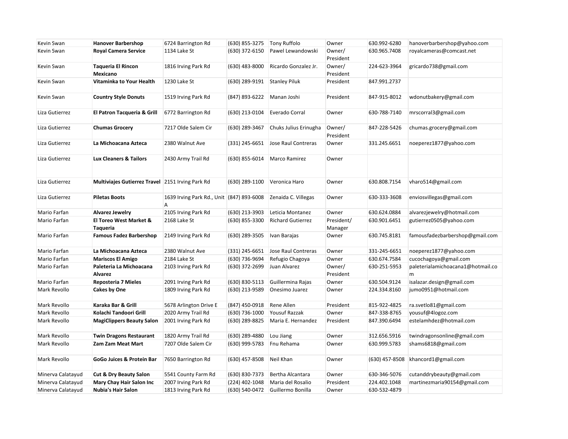| Kevin Swan        | <b>Hanover Barbershop</b>                        | 6724 Barrington Rd                             | (630) 855-3275 | Tony Ruffolo                     | Owner                 | 630.992-6280   | hanoverbarbershop@yahoo.com            |
|-------------------|--------------------------------------------------|------------------------------------------------|----------------|----------------------------------|-----------------------|----------------|----------------------------------------|
| Kevin Swan        | <b>Royal Camera Service</b>                      | 1134 Lake St                                   | (630) 372-6150 | Pawel Lewandowski                | Owner/<br>President   | 630.965.7408   | royalcameras@comcast.net               |
| Kevin Swan        | <b>Taqueria El Rincon</b><br>Mexicano            | 1816 Irving Park Rd                            | (630) 483-8000 | Ricardo Gonzalez Jr.             | Owner/<br>President   | 224-623-3964   | gricardo738@gmail.com                  |
| Kevin Swan        | Vitaminka to Your Health                         | 1230 Lake St                                   | (630) 289-9191 | <b>Stanley Piluk</b>             | President             | 847.991.2737   |                                        |
| Kevin Swan        | <b>Country Style Donuts</b>                      | 1519 Irving Park Rd                            | (847) 893-6222 | Manan Joshi                      | President             | 847-915-8012   | wdonutbakery@gmail.com                 |
| Liza Gutierrez    | El Patron Tacqueria & Grill                      | 6772 Barrington Rd                             | (630) 213-0104 | Everado Corral                   | Owner                 | 630-788-7140   | mrscorral3@gmail.com                   |
| Liza Gutierrez    | <b>Chumas Grocery</b>                            | 7217 Olde Salem Cir                            | (630) 289-3467 | Chuks Julius Erinugha            | Owner/<br>President   | 847-228-5426   | chumas.grocery@gmail.com               |
| Liza Gutierrez    | La Michoacana Azteca                             | 2380 Walnut Ave                                | (331) 245-6651 | Jose Raul Contreras              | Owner                 | 331.245.6651   | noeperez1877@yahoo.com                 |
| Liza Gutierrez    | <b>Lux Cleaners &amp; Tailors</b>                | 2430 Army Trail Rd                             | (630) 855-6014 | Marco Ramirez                    | Owner                 |                |                                        |
| Liza Gutierrez    | Multiviajes Gutierrez Travel 2151 Irving Park Rd |                                                | (630) 289-1100 | Veronica Haro                    | Owner                 | 630.808.7154   | vharo514@gmail.com                     |
| Liza Gutierrez    | <b>Piletas Boots</b>                             | 1639 Irving Park Rd., Unit (847) 893-6008<br>A |                | Zenaida C. Villegas              | Owner                 | 630-333-3608   | enviosvillegas@gmail.com               |
| Mario Farfan      | Alvarez Jewelry                                  | 2105 Irving Park Rd                            | (630) 213-3903 | Leticia Montanez                 | Owner                 | 630.624.0884   | alvarezjewelry@hotmail.com             |
| Mario Farfan      | <b>El Toreo West Market &amp;</b><br>Taqueria    | 2168 Lake St                                   | (630) 855-3300 | <b>Richard Gutierrez</b>         | President/<br>Manager | 630.901.6451   | gutierrez0505@yahoo.com                |
| Mario Farfan      | <b>Famous Fadez Barbershop</b>                   | 2149 Irving Park Rd                            | (630) 289-3505 | Ivan Barajas                     | Owner                 | 630.745.8181   | famousfadezbarbershop@gmail.com        |
| Mario Farfan      | La Michoacana Azteca                             | 2380 Walnut Ave                                | (331) 245-6651 | Jose Raul Contreras              | Owner                 | 331-245-6651   | noeperez1877@yahoo.com                 |
| Mario Farfan      | <b>Mariscos El Amigo</b>                         | 2184 Lake St                                   | (630) 736-9694 | Refugio Chagoya                  | Owner                 | 630.674.7584   | cucochagoya@gmail.com                  |
| Mario Farfan      | Paleteria La Michoacana<br><b>Alvarez</b>        | 2103 Irving Park Rd                            | (630) 372-2699 | Juan Alvarez                     | Owner/<br>President   | 630-251-5953   | paleterialamichoacana1@hotmail.co<br>m |
| Mario Farfan      | Reposteria 7 Mieles                              | 2091 Irving Park Rd                            | (630) 830-5113 | Guillermina Rajas                | Owner                 | 630.504.9124   | isalazar.design@gmail.com              |
| Mark Revollo      | Cakes by One                                     | 1809 Irving Park Rd                            | (630) 213-9589 | Onesimo Juarez                   | Owner                 | 224.334.8160   | jumo0951@hotmail.com                   |
| Mark Revollo      | Karaka Bar & Grill                               | 5678 Arlington Drive E                         | (847) 450-0918 | Rene Allen                       | President             | 815-922-4825   | ra.svetlo81@gmail.com                  |
| Mark Revollo      | Kolachi Tandoori Grill                           | 2020 Army Trail Rd                             | (630) 736-1000 | Yousuf Razzak                    | Owner                 | 847-338-8765   | yousuf@4logoz.com                      |
| Mark Revollo      | <b>MagiClippers Beauty Salon</b>                 | 2001 Irving Park Rd                            | (630) 289-8825 | Maria E. Hernandez               | President             | 847.390.6494   | estelamhdez@hotmail.com                |
| Mark Revollo      | <b>Twin Dragons Restaurant</b>                   | 1820 Army Trail Rd                             | (630) 289-4880 | Lou Jiang                        | Owner                 | 312.656.5916   | twindragonsonline@gmail.com            |
| Mark Revollo      | <b>Zam Zam Meat Mart</b>                         | 7207 Olde Salem Cir                            | (630) 999-5783 | Fnu Rehama                       | Owner                 | 630.999.5783   | shams6818@gmail.com                    |
| Mark Revollo      | GoGo Juices & Protein Bar                        | 7650 Barrington Rd                             | (630) 457-8508 | Neil Khan                        | Owner                 | (630) 457-8508 | khancord1@gmail.com                    |
| Minerva Calatayud | <b>Cut &amp; Dry Beauty Salon</b>                | 5541 County Farm Rd                            | (630) 830-7373 | Bertha Alcantara                 | Owner                 | 630-346-5076   | cutanddrybeauty@gmail.com              |
| Minerva Calatayud | Mary Chay Hair Salon Inc                         | 2007 Irving Park Rd                            | (224) 402-1048 | Maria del Rosalio                | President             | 224.402.1048   | martinezmaria90154@gmail.com           |
| Minerva Calatayud | <b>Nubia's Hair Salon</b>                        | 1813 Irving Park Rd                            |                | (630) 540-0472 Guillermo Bonilla | Owner                 | 630-532-4879   |                                        |
|                   |                                                  |                                                |                |                                  |                       |                |                                        |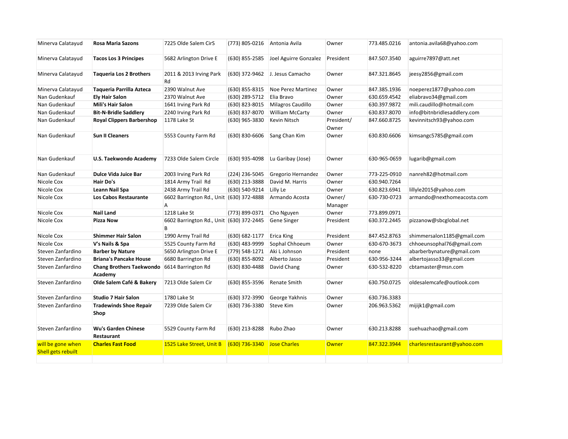| Minerva Calatayud  | <b>Rosa Maria Sazons</b>                   | 7225 Olde Salem CirS                          | (773) 805-0216 | Antonia Avila             | Owner               | 773.485.0216 | antonia.avila68@yahoo.com   |
|--------------------|--------------------------------------------|-----------------------------------------------|----------------|---------------------------|---------------------|--------------|-----------------------------|
| Minerva Calatayud  | <b>Tacos Los 3 Principes</b>               | 5682 Arlington Drive E                        | (630) 855-2585 | Joel Aguirre Gonzalez     | President           | 847.507.3540 | aguirre7897@att.net         |
| Minerva Calatayud  | <b>Taqueria Los 2 Brothers</b>             | 2011 & 2013 Irving Park<br>Rd                 | (630) 372-9462 | J. Jesus Camacho          | Owner               | 847.321.8645 | jeesy2856@gmail.com         |
| Minerva Calatayud  | Taqueria Parrilla Azteca                   | 2390 Walnut Ave                               | (630) 855-8315 | <b>Noe Perez Martinez</b> | Owner               | 847.385.1936 | noeperez1877@yahoo.com      |
| Nan Gudenkauf      | <b>Ely Hair Salon</b>                      | 2370 Walnut Ave                               | (630) 289-5712 | Elia Bravo                | Owner               | 630.659.4542 | eliabravo34@gmail.com       |
| Nan Gudenkauf      | Mili's Hair Salon                          | 1641 Irving Park Rd                           | (630) 823-8015 | Milagros Caudillo         | Owner               | 630.397.9872 | mili.caudillo@hotmail.com   |
| Nan Gudenkauf      | <b>Bit-N-Bridle Saddlery</b>               | 2240 Irving Park Rd                           | (630) 837-8070 | <b>William McCarty</b>    | Owner               | 630.837.8070 | info@bitnbridlesaddlery.com |
| Nan Gudenkauf      | <b>Royal Clippers Barbershop</b>           | 1178 Lake St                                  | (630) 965-3830 | Kevin Nitsch              | President/<br>Owner | 847.660.8725 | kevinnitsch93@yahoo.com     |
| Nan Gudenkauf      | <b>Sun II Cleaners</b>                     | 5553 County Farm Rd                           | (630) 830-6606 | Sang Chan Kim             | Owner               | 630.830.6606 | kimsangc5785@gmail.com      |
| Nan Gudenkauf      | U.S. Taekwondo Academy                     | 7233 Olde Salem Circle                        | (630) 935-4098 | Lu Garibay (Jose)         | Owner               | 630-965-0659 | lugarib@gmail.com           |
| Nan Gudenkauf      | <b>Dulce Vida Juice Bar</b>                | 2003 Irving Park Rd                           | (224) 236-5045 | Gregorio Hernandez        | Owner               | 773-225-0910 | nanreh82@hotmail.com        |
| Nicole Cox         | Hair Do's                                  | 1814 Army Trail Rd                            | (630) 213-3888 | David M. Harris           | Owner               | 630.940.7264 |                             |
| Nicole Cox         | Leann Nail Spa                             | 2438 Army Trail Rd                            | (630) 540-9214 | Lilly Le                  | Owner               | 630.823.6941 | lillyle2015@yahoo.com       |
| Nicole Cox         | Los Cabos Restaurante                      | 6602 Barrington Rd., Unit (630) 372-4888<br>A |                | Armando Acosta            | Owner/<br>Manager   | 630-730-0723 | armando@nexthomeacosta.com  |
| Nicole Cox         | <b>Nail Land</b>                           | 1218 Lake St                                  | (773) 899-0371 | Cho Nguyen                | Owner               | 773.899.0971 |                             |
| Nicole Cox         | Pizza Now                                  | 6602 Barrington Rd., Unit (630) 372-2445<br>В |                | Gene Singer               | President           | 630.372.2445 | pizzanow@sbcglobal.net      |
| Nicole Cox         | <b>Shimmer Hair Salon</b>                  | 1990 Army Trail Rd                            | (630) 682-1177 | <b>Erica King</b>         | President           | 847.452.8763 | shimmersalon1185@gmail.com  |
| Nicole Cox         | V's Nails & Spa                            | 5525 County Farm Rd                           | (630) 483-9999 | Sophal Chhoeum            | Owner               | 630-670-3673 | chhoeunsophal76@gmail.com   |
| Steven Zanfardino  | <b>Barber by Nature</b>                    | 5650 Arlington Drive E                        | (779) 548-1271 | Aki L Johnson             | President           | none         | abarberbynature@gmail.com   |
| Steven Zanfardino  | <b>Briana's Pancake House</b>              | 6680 Barrington Rd                            | (630) 855-8092 | Alberto Jasso             | President           | 630-956-3244 | albertojasso33@gmail.com    |
| Steven Zanfardino  | <b>Chang Brothers Taekwondo</b><br>Academy | 6614 Barrington Rd                            | (630) 830-4488 | David Chang               | Owner               | 630-532-8220 | cbtamaster@msn.com          |
| Steven Zanfardino  | Olde Salem Café & Bakery                   | 7213 Olde Salem Cir                           | (630) 855-3596 | <b>Renate Smith</b>       | Owner               | 630.750.0725 | oldesalemcafe@outlook.com   |
| Steven Zanfardino  | <b>Studio 7 Hair Salon</b>                 | 1780 Lake St                                  | (630) 372-3990 | George Yakhnis            | Owner               | 630.736.3383 |                             |
| Steven Zanfardino  | <b>Tradewinds Shoe Repair</b><br>Shop      | 7239 Olde Salem Cir                           | (630) 736-3380 | <b>Steve Kim</b>          | Owner               | 206.963.5362 | mijijk1@gmail.com           |
| Steven Zanfardino  | <b>Wu's Garden Chinese</b><br>Restaurant   | 5529 County Farm Rd                           | (630) 213-8288 | Rubo Zhao                 | Owner               | 630.213.8288 | suehuazhao@gmail.com        |
| will be gone when  | <b>Charles Fast Food</b>                   | 1525 Lake Street, Unit B                      | (630) 736-3340 | <b>Jose Charles</b>       | <b>Owner</b>        | 847.322.3944 | charlesrestaurant@yahoo.com |
| Shell gets rebuilt |                                            |                                               |                |                           |                     |              |                             |